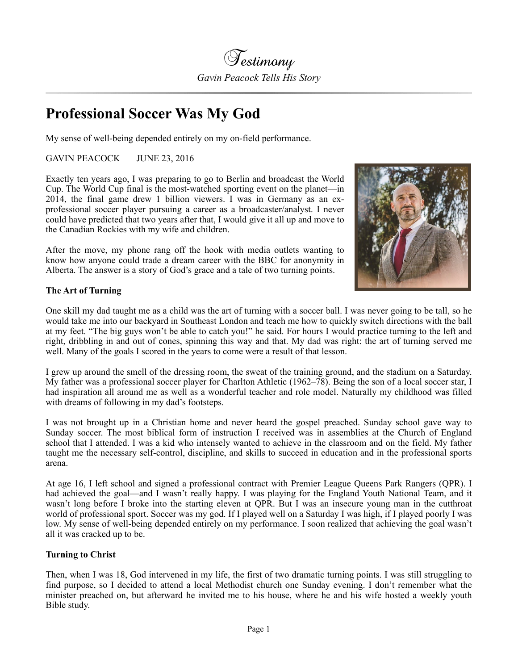

## **Professional Soccer Was My God**

My sense of well-being depended entirely on my on-field performance.

GAVIN PEACOCK JUNE 23, 2016

Exactly ten years ago, I was preparing to go to Berlin and broadcast the World Cup. The World Cup final is the most-watched sporting event on the planet—in 2014, the final game drew 1 billion viewers. I was in Germany as an exprofessional soccer player pursuing a career as a broadcaster/analyst. I never could have predicted that two years after that, I would give it all up and move to the Canadian Rockies with my wife and children.

After the move, my phone rang off the hook with media outlets wanting to know how anyone could trade a dream career with the BBC for anonymity in Alberta. The answer is a story of God's grace and a tale of two turning points.



## **The Art of Turning**

One skill my dad taught me as a child was the art of turning with a soccer ball. I was never going to be tall, so he would take me into our backyard in Southeast London and teach me how to quickly switch directions with the ball at my feet. "The big guys won't be able to catch you!" he said. For hours I would practice turning to the left and right, dribbling in and out of cones, spinning this way and that. My dad was right: the art of turning served me well. Many of the goals I scored in the years to come were a result of that lesson.

I grew up around the smell of the dressing room, the sweat of the training ground, and the stadium on a Saturday. My father was a professional soccer player for Charlton Athletic (1962–78). Being the son of a local soccer star, I had inspiration all around me as well as a wonderful teacher and role model. Naturally my childhood was filled with dreams of following in my dad's footsteps.

I was not brought up in a Christian home and never heard the gospel preached. Sunday school gave way to Sunday soccer. The most biblical form of instruction I received was in assemblies at the Church of England school that I attended. I was a kid who intensely wanted to achieve in the classroom and on the field. My father taught me the necessary self-control, discipline, and skills to succeed in education and in the professional sports arena.

At age 16, I left school and signed a professional contract with Premier League Queens Park Rangers (QPR). I had achieved the goal—and I wasn't really happy. I was playing for the England Youth National Team, and it wasn't long before I broke into the starting eleven at QPR. But I was an insecure young man in the cutthroat world of professional sport. Soccer was my god. If I played well on a Saturday I was high, if I played poorly I was low. My sense of well-being depended entirely on my performance. I soon realized that achieving the goal wasn't all it was cracked up to be.

## **Turning to Christ**

Then, when I was 18, God intervened in my life, the first of two dramatic turning points. I was still struggling to find purpose, so I decided to attend a local Methodist church one Sunday evening. I don't remember what the minister preached on, but afterward he invited me to his house, where he and his wife hosted a weekly youth Bible study.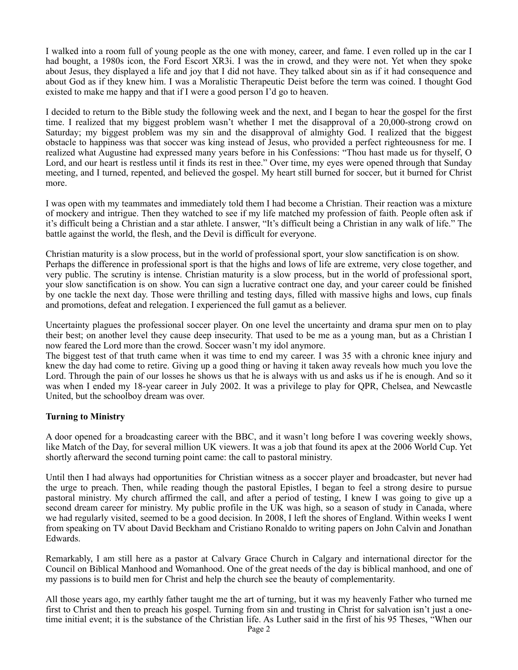I walked into a room full of young people as the one with money, career, and fame. I even rolled up in the car I had bought, a 1980s icon, the Ford Escort XR3i. I was the in crowd, and they were not. Yet when they spoke about Jesus, they displayed a life and joy that I did not have. They talked about sin as if it had consequence and about God as if they knew him. I was a Moralistic Therapeutic Deist before the term was coined. I thought God existed to make me happy and that if I were a good person I'd go to heaven.

I decided to return to the Bible study the following week and the next, and I began to hear the gospel for the first time. I realized that my biggest problem wasn't whether I met the disapproval of a 20,000-strong crowd on Saturday; my biggest problem was my sin and the disapproval of almighty God. I realized that the biggest obstacle to happiness was that soccer was king instead of Jesus, who provided a perfect righteousness for me. I realized what Augustine had expressed many years before in his Confessions: "Thou hast made us for thyself, O Lord, and our heart is restless until it finds its rest in thee." Over time, my eyes were opened through that Sunday meeting, and I turned, repented, and believed the gospel. My heart still burned for soccer, but it burned for Christ more.

I was open with my teammates and immediately told them I had become a Christian. Their reaction was a mixture of mockery and intrigue. Then they watched to see if my life matched my profession of faith. People often ask if it's difficult being a Christian and a star athlete. I answer, "It's difficult being a Christian in any walk of life." The battle against the world, the flesh, and the Devil is difficult for everyone.

Christian maturity is a slow process, but in the world of professional sport, your slow sanctification is on show. Perhaps the difference in professional sport is that the highs and lows of life are extreme, very close together, and very public. The scrutiny is intense. Christian maturity is a slow process, but in the world of professional sport, your slow sanctification is on show. You can sign a lucrative contract one day, and your career could be finished by one tackle the next day. Those were thrilling and testing days, filled with massive highs and lows, cup finals and promotions, defeat and relegation. I experienced the full gamut as a believer.

Uncertainty plagues the professional soccer player. On one level the uncertainty and drama spur men on to play their best; on another level they cause deep insecurity. That used to be me as a young man, but as a Christian I now feared the Lord more than the crowd. Soccer wasn't my idol anymore.

The biggest test of that truth came when it was time to end my career. I was 35 with a chronic knee injury and knew the day had come to retire. Giving up a good thing or having it taken away reveals how much you love the Lord. Through the pain of our losses he shows us that he is always with us and asks us if he is enough. And so it was when I ended my 18-year career in July 2002. It was a privilege to play for QPR, Chelsea, and Newcastle United, but the schoolboy dream was over.

## **Turning to Ministry**

A door opened for a broadcasting career with the BBC, and it wasn't long before I was covering weekly shows, like Match of the Day, for several million UK viewers. It was a job that found its apex at the 2006 World Cup. Yet shortly afterward the second turning point came: the call to pastoral ministry.

Until then I had always had opportunities for Christian witness as a soccer player and broadcaster, but never had the urge to preach. Then, while reading though the pastoral Epistles, I began to feel a strong desire to pursue pastoral ministry. My church affirmed the call, and after a period of testing, I knew I was going to give up a second dream career for ministry. My public profile in the UK was high, so a season of study in Canada, where we had regularly visited, seemed to be a good decision. In 2008, I left the shores of England. Within weeks I went from speaking on TV about David Beckham and Cristiano Ronaldo to writing papers on John Calvin and Jonathan Edwards.

Remarkably, I am still here as a pastor at Calvary Grace Church in Calgary and international director for the Council on Biblical Manhood and Womanhood. One of the great needs of the day is biblical manhood, and one of my passions is to build men for Christ and help the church see the beauty of complementarity.

All those years ago, my earthly father taught me the art of turning, but it was my heavenly Father who turned me first to Christ and then to preach his gospel. Turning from sin and trusting in Christ for salvation isn't just a onetime initial event; it is the substance of the Christian life. As Luther said in the first of his 95 Theses, "When our